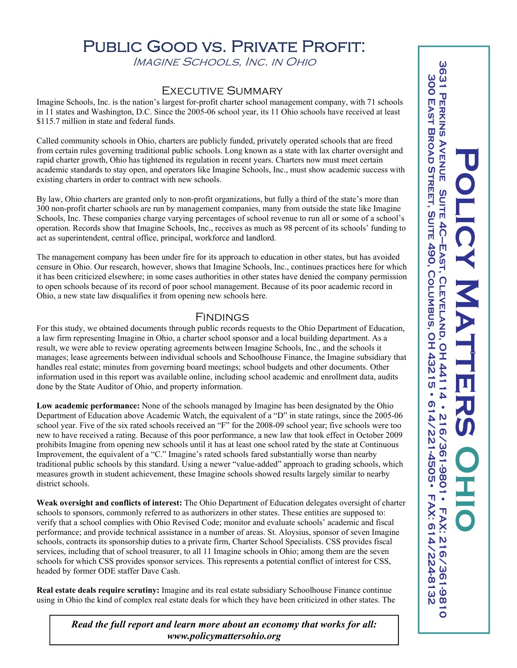## PUBLIC GOOD VS. PRIVATE PROFIT.

Imagine Schools, Inc. in Ohio

## Executive Summary

Imagine Schools, Inc. is the nation's largest for-profit charter school management company, with 71 schools in 11 states and Washington, D.C. Since the 2005-06 school year, its 11 Ohio schools have received at least \$115.7 million in state and federal funds.

Called community schools in Ohio, charters are publicly funded, privately operated schools that are freed from certain rules governing traditional public schools. Long known as a state with lax charter oversight and rapid charter growth, Ohio has tightened its regulation in recent years. Charters now must meet certain academic standards to stay open, and operators like Imagine Schools, Inc., must show academic success with existing charters in order to contract with new schools.

By law, Ohio charters are granted only to non-profit organizations, but fully a third of the state's more than 300 non-profit charter schools are run by management companies, many from outside the state like Imagine Schools, Inc. These companies charge varying percentages of school revenue to run all or some of a school's operation. Records show that Imagine Schools, Inc., receives as much as 98 percent of its schools' funding to act as superintendent, central office, principal, workforce and landlord.

The management company has been under fire for its approach to education in other states, but has avoided censure in Ohio. Our research, however, shows that Imagine Schools, Inc., continues practices here for which it has been criticized elsewhere; in some cases authorities in other states have denied the company permission to open schools because of its record of poor school management. Because of its poor academic record in Ohio, a new state law disqualifies it from opening new schools here.

## Findings

For this study, we obtained documents through public records requests to the Ohio Department of Education, a law firm representing Imagine in Ohio, a charter school sponsor and a local building department. As a result, we were able to review operating agreements between Imagine Schools, Inc., and the schools it manages; lease agreements between individual schools and Schoolhouse Finance, the Imagine subsidiary that handles real estate; minutes from governing board meetings; school budgets and other documents. Other information used in this report was available online, including school academic and enrollment data, audits done by the State Auditor of Ohio, and property information.

**Low academic performance:** None of the schools managed by Imagine has been designated by the Ohio Department of Education above Academic Watch, the equivalent of a "D" in state ratings, since the 2005-06 school year. Five of the six rated schools received an "F" for the 2008-09 school year; five schools were too new to have received a rating. Because of this poor performance, a new law that took effect in October 2009 prohibits Imagine from opening new schools until it has at least one school rated by the state at Continuous Improvement, the equivalent of a "C." Imagine's rated schools fared substantially worse than nearby traditional public schools by this standard. Using a newer "value-added" approach to grading schools, which measures growth in student achievement, these Imagine schools showed results largely similar to nearby district schools.

**Weak oversight and conflicts of interest:** The Ohio Department of Education delegates oversight of charter schools to sponsors, commonly referred to as authorizers in other states. These entities are supposed to: verify that a school complies with Ohio Revised Code; monitor and evaluate schools' academic and fiscal performance; and provide technical assistance in a number of areas. St. Aloysius, sponsor of seven Imagine schools, contracts its sponsorship duties to a private firm, Charter School Specialists. CSS provides fiscal services, including that of school treasurer, to all 11 Imagine schools in Ohio; among them are the seven schools for which CSS provides sponsor services. This represents a potential conflict of interest for CSS, headed by former ODE staffer Dave Cash.

**Real estate deals require scrutiny:** Imagine and its real estate subsidiary Schoolhouse Finance continue using in Ohio the kind of complex real estate deals for which they have been criticized in other states. The

*Read the full report and learn more about an economy that works for all: www.policymattersohio.org*